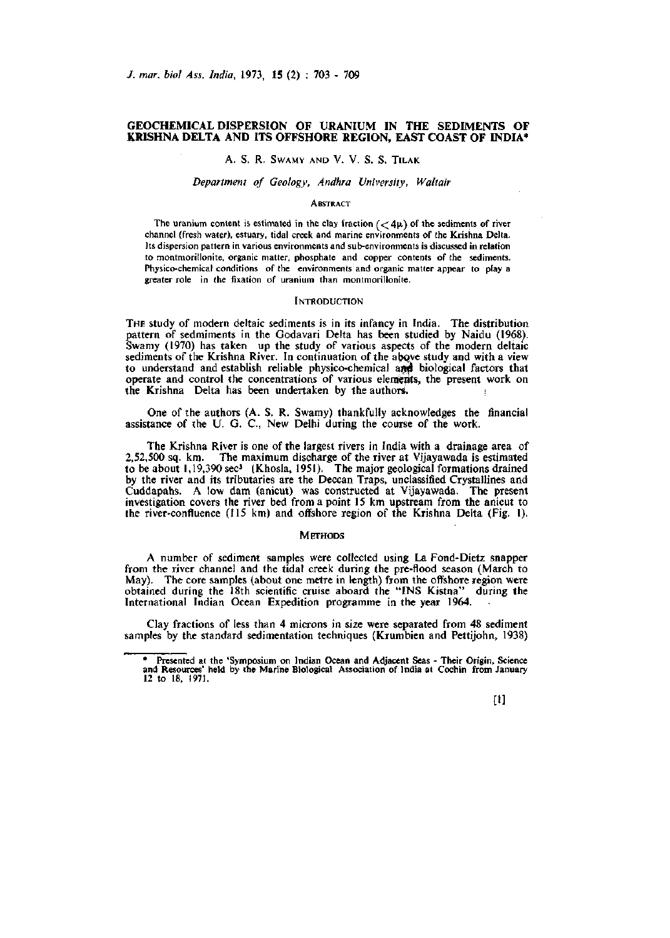# **GEOCHEMICAL DISPERSION OF URANIUM IN THE SEDIMENTS OF KRISHNA DELTA AND ITS OFFSHORE REGION, EAST COAST OF INDIA\***

# A. S. R. SWAMY AND V. V. S. S. TiLAK

# *Department of Geology, Andhra University, Waltair*

### **ABSTRACT**

The uranium content is estimated in the clay fraction  $(<4\mu$ ) of the sediments of river channel (fresh water), estuary, tidal creek and marine environments of the Krishna Delta. Its dispersion pattern in various environments and sub-environments is discussed in relation to montmorillonite, organic matter, phosphate and copper contents of the sediments. Physico-chemical conditions of the environments and organic matter appear to play a greater role in the fixation of uranium than montmorillonite.

#### **INTRODUCTION**

THE study of modern deltaic sediments is in its infancy in India. The distribution pattern of sedmiments in the Godavari Delta has been studied by Naidu (1968). Swamy (1970) has taken up the study of various aspects of the modern deltaic sediments of the Krishna River. In continuation of the above study and with a view to understand and establish reliable physico-chemical and biological factors that operate and control the concentrations of various elements, the present work on the Krishna Delta has been undertaken by the authors.

One of the authors (A. S. R. Swamy) thankfully acknowledges the financial assistance of the U. G. C, New Delhi during the course of the work.

The Krishna River is one of the largest rivers in India with a drainage area of 2,52,500 sq. km. The maximum discharge of the river at Vijayawada is estimated to be about 1,19,390 sec' (Khosla, 1951). The major geological formations drained by the river and its tributaries are the Deccan Traps, unclassified Crystallines and Cuddapahs. A low dam (anicut) was constructed at Vijayawada. The present investigation covers the river bed from a point 15 km upstream from the anicut to the river-confluence  $(115 \text{ km})$  and offshore region of the Krishna Delta (Fig. 1).

## **METHODS**

A number of sediment samples were collected using La Fond-Dietz snapper from the river channel and the tidal creek during the pre-flood season (March to May). The core samples (about one metre in length) from the offishore region were obtained during the 18th scientific cruise aboard the "INS Kistna" during the International Indian Ocean Expedition programme in the year 1964.

Clay fractions of less than 4 microns in size were separated from 48 sediment samples by the standard sedimentation techniques (Krumbien and Pettijohn, 1938)

[1]

<sup>\*</sup> Presented at the 'Symposium on Indian Ocean and Adjacent Seas - Their Origin, Science and Resources' held by the Marine Biological Association of India at Cochin from January 12 to 18, 1971.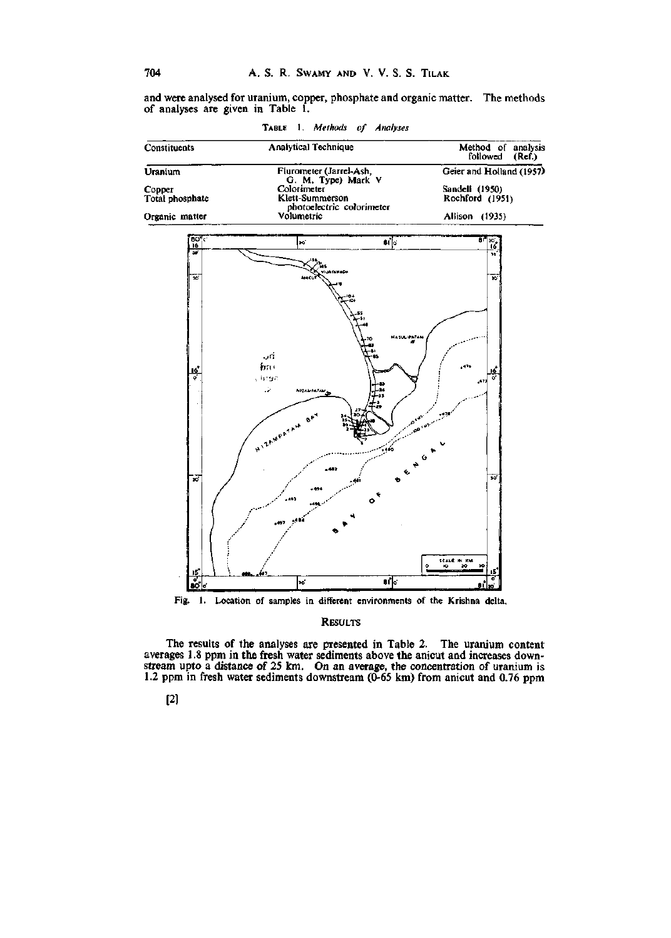and were analysed for uranium, copper, phosphate and organic matter. The methods of analyses are given in Table 1.

TABLE 1. Methods of Analyses

| Constituents    | <b>Analytical Technique</b>                   | Method of analysis<br>followed<br>(Ref.) |
|-----------------|-----------------------------------------------|------------------------------------------|
| Uranium         | Flurometer (Jarrel-Ash,<br>G. M. Type) Mark V | Geier and Holland (1957)                 |
| Copper          | Colorimeter                                   | Sandell (1950)                           |
| Total phosphate | Klett-Summerson<br>photoelectric colorimeter  | Rochford (1951)                          |
| Organic matter  | Volumetric                                    | (1935)<br>Allison                        |



Fig. 1. Location of samples in different environments of the Krishna delta,

**RESULTS** 

The results of the analyses are presented in Table 2. The uranium content averages 1.8 ppm in the fresh water sediments above the anicut and increases down-<br>stream upto a distance of 25 km. On an average, the concentration

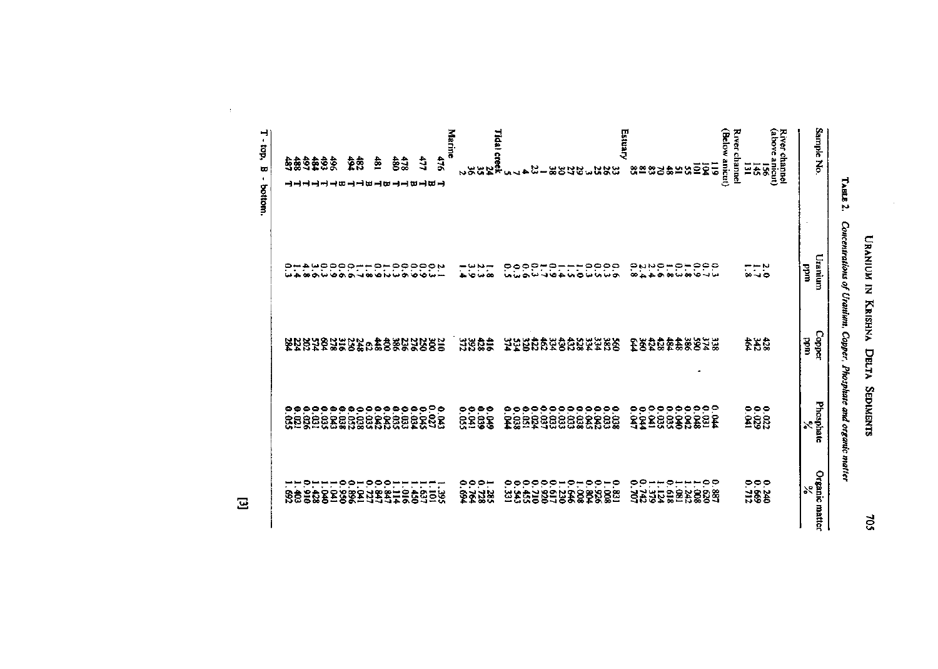| 1<br>ļ<br>ı<br>i<br>I<br>2 |
|----------------------------|
|                            |
| J<br>י<br>יוני             |
| ì<br>t                     |

| (Below anicut)<br>(above anicut)<br>Marine<br>River channel<br>Tidal creek<br>24<br>23<br>2<br>2<br>2<br>83<br>477<br>34<br>\$32282<br>ê<br>480<br>Ξ<br>៑<br>$\Xi$<br>ē<br>145<br>5<br>님.<br>æ<br>2532<br>했어춣님않으<br>ងន្លង<br><b>CA</b><br>ㅋㅋ쁘ㅋㅎ<br>ᅴ쁴ᄜᅴ<br>ㅋㅋㅋㅋ<br>۹.<br>مې<br>۶<br>eeddaddee<br>e<br>cooon---<br>nawwowa<br>ి<br>5.444<br>÷.<br>ebbn<br>$\frac{55}{20}$<br>고구구<br>9<br>$\sim$ $-$<br>۴.<br>$\bullet$<br>œ<br><b>ထယတ</b> လ<br>∞⊸⇔<br>$0.4000-10001$<br>ю<br>م د<br>۱o<br>$\omega$ as<br>œ<br>۰<br>سا لہ<br><b>887788887887872</b><br><b>EZEZZEUEZ 1250 1250 1253</b><br>BSQ8238878<br>332<br>$\frac{4}{3}$ 822 | Sample No.    | Uranium<br>uudd | Copper<br>uudd | Phosphate<br>≿ |                                                                |
|--------------------------------------------------------------------------------------------------------------------------------------------------------------------------------------------------------------------------------------------------------------------------------------------------------------------------------------------------------------------------------------------------------------------------------------------------------------------------------------------------------------------------------------------------------------------------------------------------------------------------------|---------------|-----------------|----------------|----------------|----------------------------------------------------------------|
|                                                                                                                                                                                                                                                                                                                                                                                                                                                                                                                                                                                                                                | River channel |                 |                |                |                                                                |
|                                                                                                                                                                                                                                                                                                                                                                                                                                                                                                                                                                                                                                |               |                 |                |                |                                                                |
|                                                                                                                                                                                                                                                                                                                                                                                                                                                                                                                                                                                                                                |               |                 |                |                | $\frac{0.000}{0.34}$                                           |
|                                                                                                                                                                                                                                                                                                                                                                                                                                                                                                                                                                                                                                |               |                 |                |                |                                                                |
|                                                                                                                                                                                                                                                                                                                                                                                                                                                                                                                                                                                                                                |               |                 |                |                |                                                                |
|                                                                                                                                                                                                                                                                                                                                                                                                                                                                                                                                                                                                                                |               |                 |                |                |                                                                |
|                                                                                                                                                                                                                                                                                                                                                                                                                                                                                                                                                                                                                                |               |                 |                |                |                                                                |
|                                                                                                                                                                                                                                                                                                                                                                                                                                                                                                                                                                                                                                |               |                 |                |                |                                                                |
|                                                                                                                                                                                                                                                                                                                                                                                                                                                                                                                                                                                                                                |               |                 |                |                |                                                                |
|                                                                                                                                                                                                                                                                                                                                                                                                                                                                                                                                                                                                                                |               |                 |                |                |                                                                |
|                                                                                                                                                                                                                                                                                                                                                                                                                                                                                                                                                                                                                                |               |                 |                |                |                                                                |
|                                                                                                                                                                                                                                                                                                                                                                                                                                                                                                                                                                                                                                |               |                 |                |                |                                                                |
|                                                                                                                                                                                                                                                                                                                                                                                                                                                                                                                                                                                                                                |               |                 |                |                |                                                                |
|                                                                                                                                                                                                                                                                                                                                                                                                                                                                                                                                                                                                                                | Estuary       |                 |                |                |                                                                |
|                                                                                                                                                                                                                                                                                                                                                                                                                                                                                                                                                                                                                                |               |                 |                |                |                                                                |
|                                                                                                                                                                                                                                                                                                                                                                                                                                                                                                                                                                                                                                |               |                 |                |                |                                                                |
|                                                                                                                                                                                                                                                                                                                                                                                                                                                                                                                                                                                                                                |               |                 |                |                |                                                                |
|                                                                                                                                                                                                                                                                                                                                                                                                                                                                                                                                                                                                                                |               |                 |                |                |                                                                |
|                                                                                                                                                                                                                                                                                                                                                                                                                                                                                                                                                                                                                                |               |                 |                |                |                                                                |
|                                                                                                                                                                                                                                                                                                                                                                                                                                                                                                                                                                                                                                |               |                 |                |                |                                                                |
|                                                                                                                                                                                                                                                                                                                                                                                                                                                                                                                                                                                                                                |               |                 |                |                |                                                                |
|                                                                                                                                                                                                                                                                                                                                                                                                                                                                                                                                                                                                                                |               |                 |                |                |                                                                |
|                                                                                                                                                                                                                                                                                                                                                                                                                                                                                                                                                                                                                                |               |                 |                |                |                                                                |
|                                                                                                                                                                                                                                                                                                                                                                                                                                                                                                                                                                                                                                |               |                 |                |                |                                                                |
|                                                                                                                                                                                                                                                                                                                                                                                                                                                                                                                                                                                                                                |               |                 |                |                |                                                                |
|                                                                                                                                                                                                                                                                                                                                                                                                                                                                                                                                                                                                                                |               |                 |                |                |                                                                |
|                                                                                                                                                                                                                                                                                                                                                                                                                                                                                                                                                                                                                                |               |                 |                |                |                                                                |
|                                                                                                                                                                                                                                                                                                                                                                                                                                                                                                                                                                                                                                |               |                 |                |                |                                                                |
|                                                                                                                                                                                                                                                                                                                                                                                                                                                                                                                                                                                                                                |               |                 |                |                |                                                                |
|                                                                                                                                                                                                                                                                                                                                                                                                                                                                                                                                                                                                                                |               |                 |                |                |                                                                |
|                                                                                                                                                                                                                                                                                                                                                                                                                                                                                                                                                                                                                                |               |                 |                |                |                                                                |
|                                                                                                                                                                                                                                                                                                                                                                                                                                                                                                                                                                                                                                |               |                 |                |                | ෧෧෧෧෧෧෧෧෧෧෧෧෧෧෧෧෧෧<br><u>෨෯෯෨෯෯෯෯෯෯෯</u> ෯෯<br>෯ඁ෯෯෯෯෯෯෯෯෯෯෯෯෯ |
|                                                                                                                                                                                                                                                                                                                                                                                                                                                                                                                                                                                                                                |               |                 |                |                |                                                                |
|                                                                                                                                                                                                                                                                                                                                                                                                                                                                                                                                                                                                                                |               |                 |                |                |                                                                |

TABLE 2. Concentrations of Uranium, Copper, Phosphate and organic matter

 $\Xi$ 

 $\bar{\beta}$ 

 $T$  - top,  $B$  - bottom.

705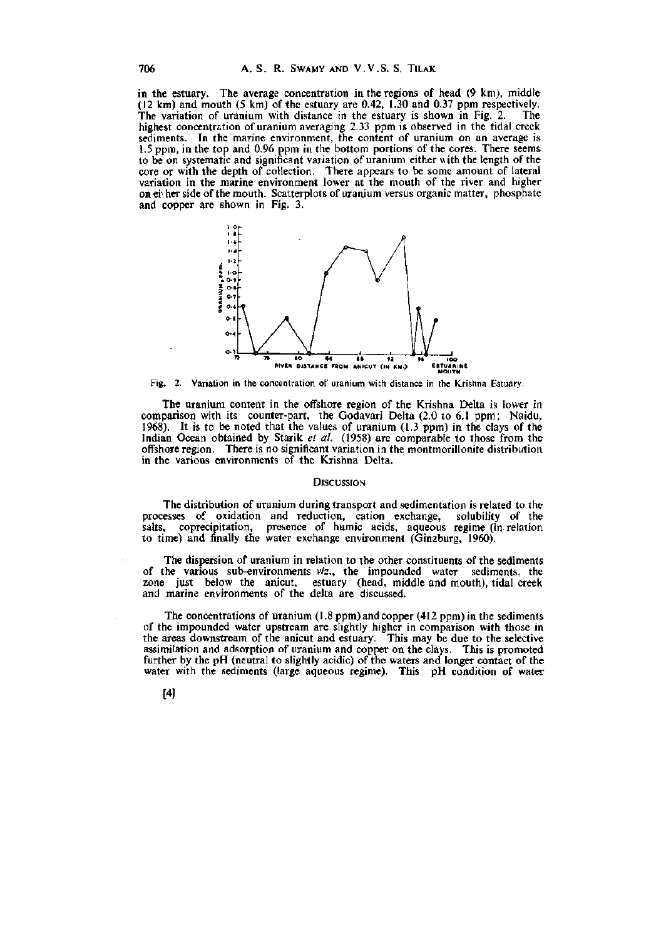in the estuary. The average concentration in the regions of head (9 km), middle (12 km) and mouth  $(5 \text{ km})$  of the estuary are 0.42, 1.30 and 0.37 ppm respectively.<br>The variation of uranium with distance in the estuary is shown in Fig. 2. The The variation of uranium with distance in the estuary is shown in Fig. 2. highest concentration of uranium averaging 2.33 ppm is observed in the tidal creek sediments. In the marine environment, the content of uranium on an average is 1.5 ppm, in the top and 0.96 ppm in the bottom portions of the cores. There seems to be on systematic and significant variation of uranium either with the length of the core or with the depth of collection. There appears to be some amount of lateral variation in the marine environment lower at the mouth of the river and higher on ei'her side of the mouth. Scatterplots of uranium versus organic matter, phosphate and copper are shown in Fig. 3.



Fig. 2. Variation in **the** concentration of uranium with distance in the Krishna Estuary.

The uranium content in the offshore region of the Krishna Delta is lower in comparison with its counter-part, the Godavari Delta (2.0 to 6.1 ppm; Naidu, 1968). It is to be noted that the values of uranium (1.3 ppm) in the clays of the Indian Ocean obtained by Starik *et al.* (1958) are comparable to those from the offshore region. There is no significant variation in the montmorillonite distribution in the various environments of the Krishna Delta.

# **DISCUSSION**

The distribution of uranium during transport and sedimentation is related to the processes of oxidation and reduction, cation exchange, solubility of the salts, coprecipitation, presence of humic acids, aqueous regime (in relation to time) and finally the water exchange environment (Ginzburg, 1960).

The dispersion of uranium in relation to the other constituents of the sediments of the various sub-environments *viz.,* the impounded water sediments, the zone just below the anicut, estuary (head, middle and mouth), tidal creek and marine environments of the delta are discussed.

The concentrations of uranium (1.8 ppm) and copper (412 ppm) in the sediments of the impounded water upstream are slightly higher in comparison with those in the areas downstream of the anicut and estuary. This may be due to the selective assimilation and adsorption of uranium and copper on the clays. This is promoted further by the pH (neutral to slightly acidic) of the waters and longer contact of the water with the sediments (large aqueous regime). This pH condition of water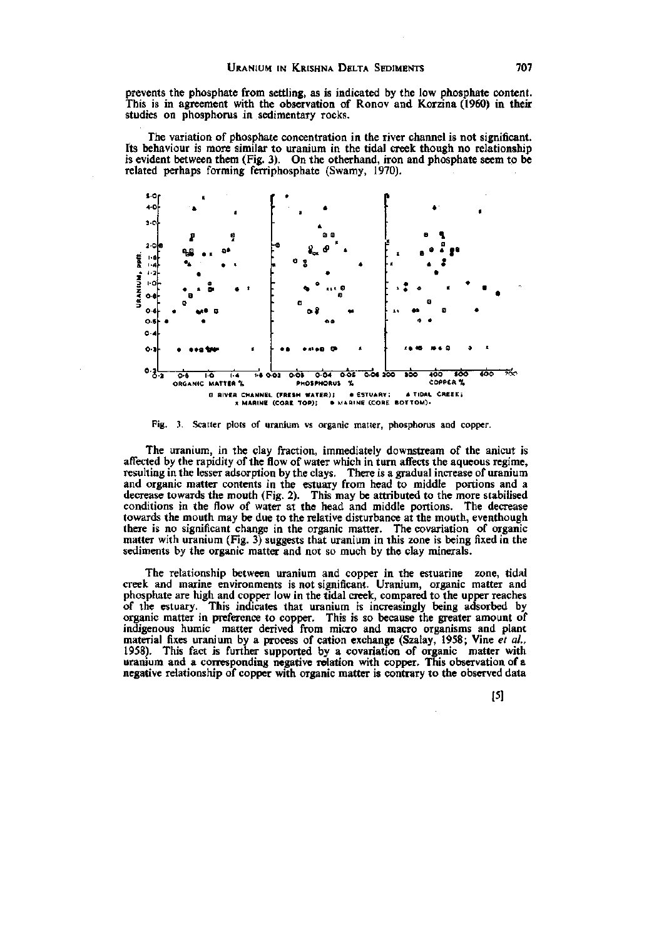prevents the phosphate from settling, as is indicated by the low phosphate content.<br>This is in agreement with the observation of Ronov and Korzina (1960) in their studies on phosphorus in sedimentary rocks.

The variation of phosphate concentration in the river channel is not significant. Its behaviour is more similar to uranium in the tidal creek though no relationship is evident between them (Fig. 3). On the otherhand, iron and phosphate seem to be related perhaps forming ferriphosphate (Swamy, 1970).



Fig. 3. Scatter plots of uranium vs organic matter, phosphorus and copper.

The uranium, in the clay fraction, immediately downstream of the anicut is affected by the rapidity of the flow of water which in turn affects the aqueous regime, resulting in the lesser adsorption by the clays. There is a gradual increase of uranium and organic matter contents in the estuary from head to middle portions and a decrease towards the mouth (Fig. 2). This may be attributed to the more stabilised conditions in the flow of water at the head and middle portions. The decrease towards the mouth may be due to the relative disturbance at the mouth, eventhough there is no significant change in the organic matter. The covariation of organic matter with uranium (Fig. 3) suggests that uranium in this zone is being fixed in the sediments by the organic matter and not so much by the clay minerals.

The relationship between uranium and copper in the estuarine zone, tidal creek and marine environments is not significant. Uranium, organic matter and phosphate are high and copper low in the tidal creek, compared to the upper reaches of the estuary. This indicates that uranium is increasingly being adsorbed by organic matter in preference to copper. This is so because the greater amount of indigenous humic matter derived from micro and macro organisms and plant material fixes uranium by a process of cation exchange (Szalay, 1958; Vine et al., 1958). This fact is further supported by a covariation of organic matter with uranium and a corresponding negative relation with copper. This observation of a negative relationship of copper with organic matter is contrary to the observed data

 $[5]$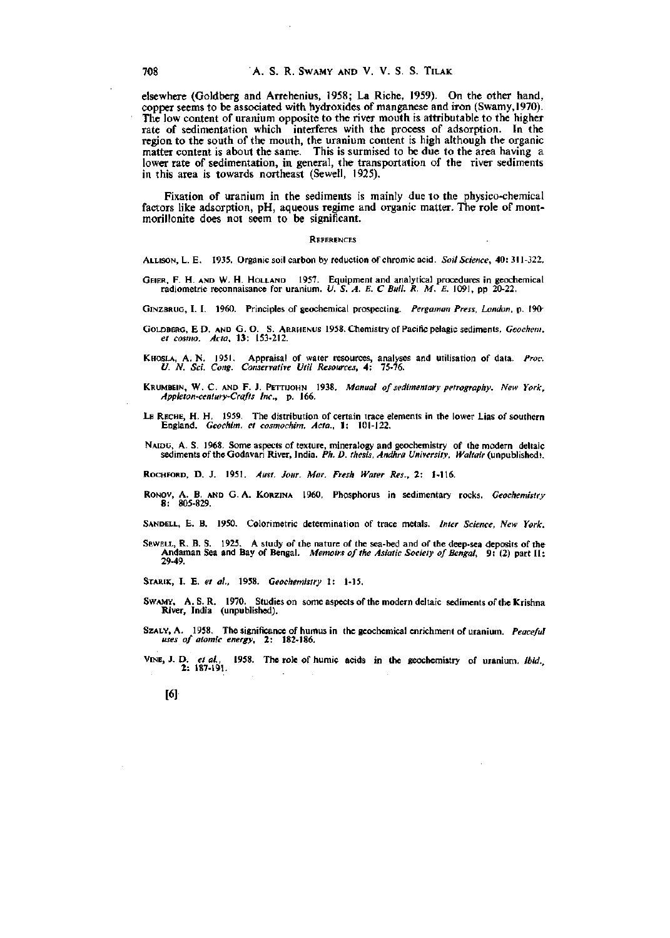elsewhere (Goldberg and Arrehenius, 1958; La Riche, 1959). On the other hand, copper seems to be associated with hydroxides of manganese and iron (Swamy,1970). The low content of uranium opposite to the river mouth is attributable to the higher rate of sedimentation which interferes with the process of adsorption. In the region to the south of the mouth, the uranium content is high although the organic matter content is about the same. This is surmised to be due to the area having a lower rate of sedimentation, in general, the transportation of the river sediments in this area is towards northeast (Sewell, 1925).

Fixation of uranium in the sediments is mainly due to the physico-chemical factors like adsorption, pH, aqueous regime and organic matter. The role of montmorillonite does not seem to be significant.

#### **REFERENCES**

ALLISON, L. E. 1935. Organic soil carbon by reduction of chromic acid. *Soil Science,* 40:311-322.

- GEIER, F. H. AND W. H. HOLLAND 1957. Equipment and analytical procedures in geochemical radiometric reconnaisance for uranium. *U. S. A. E. C Bull. R. M. E.* 1091, pp 20-22.
- GiNZBRUG, I. I. 1960. Principles of geochemical prospecting. *Pergaman Press, London,* p. 190-
- GOLDBERG, E D. AND G. O. S. ARRHENUS 1958. Chemistry of Pacific pelagic sediments. *Geochem. et cosmo. Acta,* 13: 153-212.
- KHOSLA, A.N. 1951. Appraisal of water resources, analyses and utilisation of data. *Proc. U. N. Sci. Cong. Conservative IItil Resources,* 4: 75-76.
- KRUMBEIN, W. C. AND F. J. PETTIJOHN 1938. Manual of sedimentary petrography. New York, *Appleton-century-Crafts Inc.,* p. 166.
- LE RECHE, H. H. 1959. The distribution of certain trace elements in the lower Lias of southern England. *Geochim. et cosmochim. Acta.,* 1: 101-122.
- NAIDU, A. S. 1968. Some aspects of texture, mineralogy and geochemistry of the modern deltaic sediments of the Godavari River, India. *Ph. D. thesis, Andhra University, Waltair* (unpublished).

ROCHFORD, D. J. 1951. Aust. Jour. Mar. Fresh Water Res., 2: 1-116.

- RoNOv, A. B. AND G. A. KoRziNA 1960. Phosphorus in sedimentary rocks. *Geochemistry*  8: 805-829.
- SANDELL, E. B. 1950. Colorimetric determination of trace metals. *Inter Science, New York.*
- SEWELL, R. B. S. 1925. A study of the nature of the sea-bed and of the deep-sea deposits of the Andaman Sea and Bay of Bengal. *Memoirs of the Astatic Society of Bengal,* 9: (2) part II: 29-49.

STARIK, I. E. *et al,* 1958. *Geochemistry* 1: 1-15.

[6]

- SwAMY, A. S. R. 1970. Studies on some aspects of the modern deltaic sediments of the Krishna River, India (unpublished).
- SzALY, A. 1958. The significance of humus in the geochemical enrichment of uranium, *Peaceful uses of atomic energy,* 2; 182-186.

VINE, J. D. *et al.* 1958. The role of humic acids in the geochemistry of uranium. *Ibid.*  2: 187-191.